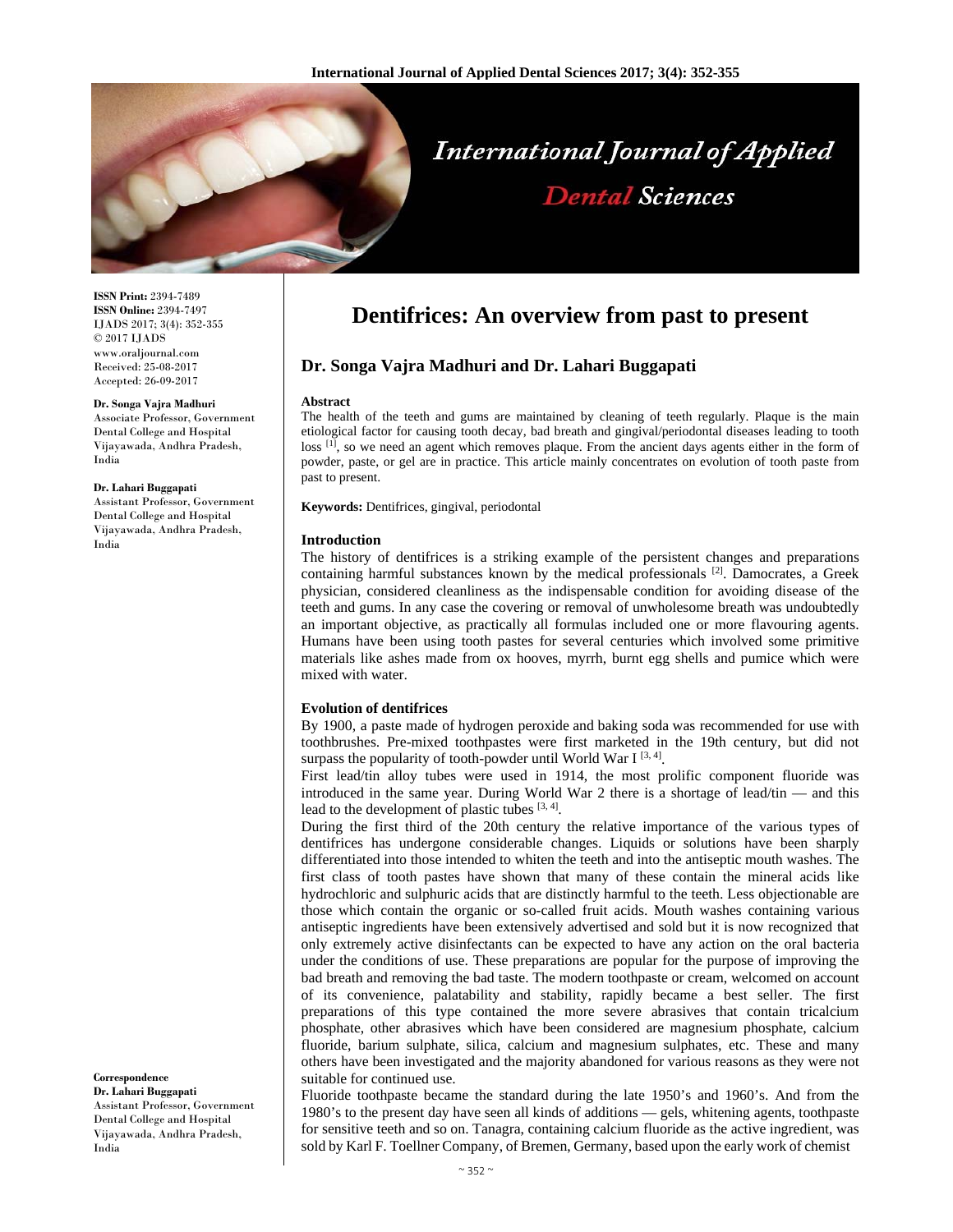

# **International Journal of Applied Dental Sciences**

**ISSN Print:** 2394-7489 **ISSN Online:** 2394-7497 IJADS 2017; 3(4): 352-355 © 2017 IJADS www.oraljournal.com Received: 25-08-2017 Accepted: 26-09-2017

#### **Dr. Songa Vajra Madhuri**

Associate Professor, Government Dental College and Hospital Vijayawada, Andhra Pradesh, India

**Dr. Lahari Buggapati** Assistant Professor, Government

Dental College and Hospital Vijayawada, Andhra Pradesh, India

#### **Correspondence**

**Dr. Lahari Buggapati** Assistant Professor, Government Dental College and Hospital Vijayawada, Andhra Pradesh, India

# **Dentifrices: An overview from past to present**

# **Dr. Songa Vajra Madhuri and Dr. Lahari Buggapati**

#### **Abstract**

The health of the teeth and gums are maintained by cleaning of teeth regularly. Plaque is the main etiological factor for causing tooth decay, bad breath and gingival/periodontal diseases leading to tooth loss <sup>[1]</sup>, so we need an agent which removes plaque. From the ancient days agents either in the form of powder, paste, or gel are in practice. This article mainly concentrates on evolution of tooth paste from past to present.

**Keywords:** Dentifrices, gingival, periodontal

#### **Introduction**

The history of dentifrices is a striking example of the persistent changes and preparations containing harmful substances known by the medical professionals  $[2]$ . Damocrates, a Greek physician, considered cleanliness as the indispensable condition for avoiding disease of the teeth and gums. In any case the covering or removal of unwholesome breath was undoubtedly an important objective, as practically all formulas included one or more flavouring agents. Humans have been using tooth pastes for several centuries which involved some primitive materials like ashes made from ox hooves, myrrh, burnt egg shells and pumice which were mixed with water.

#### **Evolution of dentifrices**

By 1900, a paste made of hydrogen peroxide and baking soda was recommended for use with toothbrushes. Pre-mixed toothpastes were first marketed in the 19th century, but did not surpass the popularity of tooth-powder until World War I  $[3, 4]$ .

First lead/tin alloy tubes were used in 1914, the most prolific component fluoride was introduced in the same year. During World War 2 there is a shortage of lead/tin — and this lead to the development of plastic tubes  $[3, 4]$ .

During the first third of the 20th century the relative importance of the various types of dentifrices has undergone considerable changes. Liquids or solutions have been sharply differentiated into those intended to whiten the teeth and into the antiseptic mouth washes. The first class of tooth pastes have shown that many of these contain the mineral acids like hydrochloric and sulphuric acids that are distinctly harmful to the teeth. Less objectionable are those which contain the organic or so-called fruit acids. Mouth washes containing various antiseptic ingredients have been extensively advertised and sold but it is now recognized that only extremely active disinfectants can be expected to have any action on the oral bacteria under the conditions of use. These preparations are popular for the purpose of improving the bad breath and removing the bad taste. The modern toothpaste or cream, welcomed on account of its convenience, palatability and stability, rapidly became a best seller. The first preparations of this type contained the more severe abrasives that contain tricalcium phosphate, other abrasives which have been considered are magnesium phosphate, calcium fluoride, barium sulphate, silica, calcium and magnesium sulphates, etc. These and many others have been investigated and the majority abandoned for various reasons as they were not suitable for continued use.

Fluoride toothpaste became the standard during the late 1950's and 1960's. And from the 1980's to the present day have seen all kinds of additions — gels, whitening agents, toothpaste for sensitive teeth and so on. Tanagra, containing calcium fluoride as the active ingredient, was sold by Karl F. Toellner Company, of Bremen, Germany, based upon the early work of chemist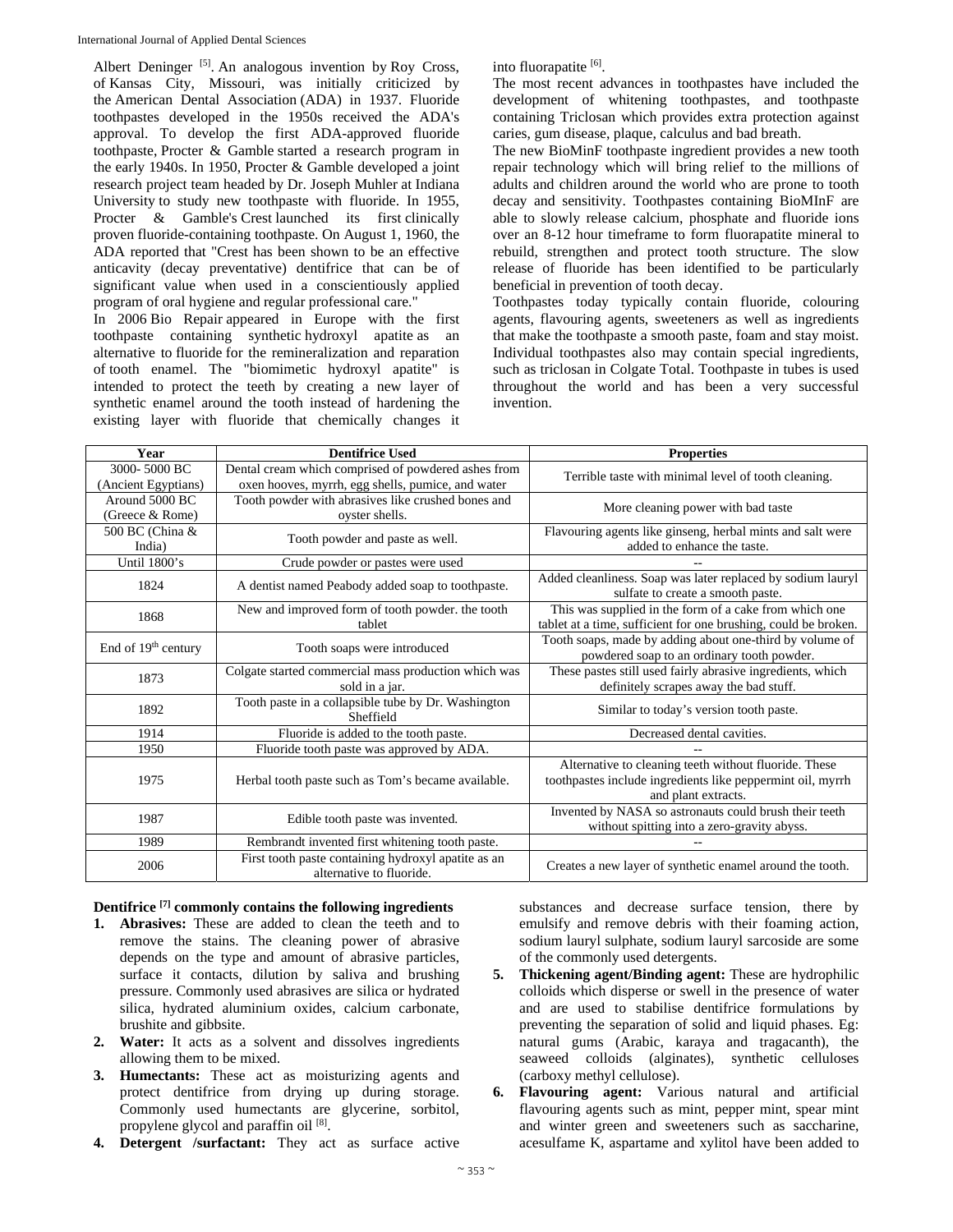Albert Deninger<sup>[5]</sup>. An analogous invention by Roy Cross, of Kansas City, Missouri, was initially criticized by the American Dental Association (ADA) in 1937. Fluoride toothpastes developed in the 1950s received the ADA's approval. To develop the first ADA-approved fluoride toothpaste, Procter & Gamble started a research program in the early 1940s. In 1950, Procter & Gamble developed a joint research project team headed by Dr. Joseph Muhler at Indiana University to study new toothpaste with fluoride. In 1955, Procter & Gamble's Crest launched its first clinically proven fluoride-containing toothpaste. On August 1, 1960, the ADA reported that "Crest has been shown to be an effective anticavity (decay preventative) dentifrice that can be of significant value when used in a conscientiously applied program of oral hygiene and regular professional care."

In 2006 Bio Repair appeared in Europe with the first toothpaste containing synthetic hydroxyl apatite as an alternative to fluoride for the remineralization and reparation of tooth enamel. The "biomimetic hydroxyl apatite" is intended to protect the teeth by creating a new layer of synthetic enamel around the tooth instead of hardening the existing layer with fluoride that chemically changes it into fluorapatite [6].

The most recent advances in toothpastes have included the development of whitening toothpastes, and toothpaste containing Triclosan which provides extra protection against caries, gum disease, plaque, calculus and bad breath.

The new BioMinF toothpaste ingredient provides a new tooth repair technology which will bring relief to the millions of adults and children around the world who are prone to tooth decay and sensitivity. Toothpastes containing BioMInF are able to slowly release calcium, phosphate and fluoride ions over an 8-12 hour timeframe to form fluorapatite mineral to rebuild, strengthen and protect tooth structure. The slow release of fluoride has been identified to be particularly beneficial in prevention of tooth decay.

Toothpastes today typically contain fluoride, colouring agents, flavouring agents, sweeteners as well as ingredients that make the toothpaste a smooth paste, foam and stay moist. Individual toothpastes also may contain special ingredients, such as triclosan in Colgate Total. Toothpaste in tubes is used throughout the world and has been a very successful invention.

| Year                                | <b>Dentifrice Used</b>                                                                                   | <b>Properties</b>                                                                                                                          |
|-------------------------------------|----------------------------------------------------------------------------------------------------------|--------------------------------------------------------------------------------------------------------------------------------------------|
| 3000-5000 BC<br>(Ancient Egyptians) | Dental cream which comprised of powdered ashes from<br>oxen hooves, myrrh, egg shells, pumice, and water | Terrible taste with minimal level of tooth cleaning.                                                                                       |
| Around 5000 BC<br>(Greece & Rome)   | Tooth powder with abrasives like crushed bones and<br>oyster shells.                                     | More cleaning power with bad taste                                                                                                         |
| 500 BC (China &<br>India)           | Tooth powder and paste as well.                                                                          | Flavouring agents like ginseng, herbal mints and salt were<br>added to enhance the taste.                                                  |
| Until 1800's                        | Crude powder or pastes were used                                                                         |                                                                                                                                            |
| 1824                                | A dentist named Peabody added soap to toothpaste.                                                        | Added cleanliness. Soap was later replaced by sodium lauryl<br>sulfate to create a smooth paste.                                           |
| 1868                                | New and improved form of tooth powder, the tooth<br>tablet                                               | This was supplied in the form of a cake from which one<br>tablet at a time, sufficient for one brushing, could be broken.                  |
| End of $19th$ century               | Tooth soaps were introduced                                                                              | Tooth soaps, made by adding about one-third by volume of<br>powdered soap to an ordinary tooth powder.                                     |
| 1873                                | Colgate started commercial mass production which was<br>sold in a jar.                                   | These pastes still used fairly abrasive ingredients, which<br>definitely scrapes away the bad stuff.                                       |
| 1892                                | Tooth paste in a collapsible tube by Dr. Washington<br>Sheffield                                         | Similar to today's version tooth paste.                                                                                                    |
| 1914                                | Fluoride is added to the tooth paste.                                                                    | Decreased dental cavities.                                                                                                                 |
| 1950                                | Fluoride tooth paste was approved by ADA.                                                                |                                                                                                                                            |
| 1975                                | Herbal tooth paste such as Tom's became available.                                                       | Alternative to cleaning teeth without fluoride. These<br>toothpastes include ingredients like peppermint oil, myrrh<br>and plant extracts. |
| 1987                                | Edible tooth paste was invented.                                                                         | Invented by NASA so astronauts could brush their teeth<br>without spitting into a zero-gravity abyss.                                      |
| 1989                                | Rembrandt invented first whitening tooth paste.                                                          |                                                                                                                                            |
| 2006                                | First tooth paste containing hydroxyl apatite as an<br>alternative to fluoride.                          | Creates a new layer of synthetic enamel around the tooth.                                                                                  |

# **Dentifrice [7] commonly contains the following ingredients**

- **1. Abrasives:** These are added to clean the teeth and to remove the stains. The cleaning power of abrasive depends on the type and amount of abrasive particles, surface it contacts, dilution by saliva and brushing pressure. Commonly used abrasives are silica or hydrated silica, hydrated aluminium oxides, calcium carbonate, brushite and gibbsite.
- **2. Water:** It acts as a solvent and dissolves ingredients allowing them to be mixed.
- **3. Humectants:** These act as moisturizing agents and protect dentifrice from drying up during storage. Commonly used humectants are glycerine, sorbitol, propylene glycol and paraffin oil [8].
- **4. Detergent /surfactant:** They act as surface active

substances and decrease surface tension, there by emulsify and remove debris with their foaming action, sodium lauryl sulphate, sodium lauryl sarcoside are some of the commonly used detergents.

- **5. Thickening agent/Binding agent:** These are hydrophilic colloids which disperse or swell in the presence of water and are used to stabilise dentifrice formulations by preventing the separation of solid and liquid phases. Eg: natural gums (Arabic, karaya and tragacanth), the seaweed colloids (alginates), synthetic celluloses (carboxy methyl cellulose).
- **6. Flavouring agent:** Various natural and artificial flavouring agents such as mint, pepper mint, spear mint and winter green and sweeteners such as saccharine, acesulfame K, aspartame and xylitol have been added to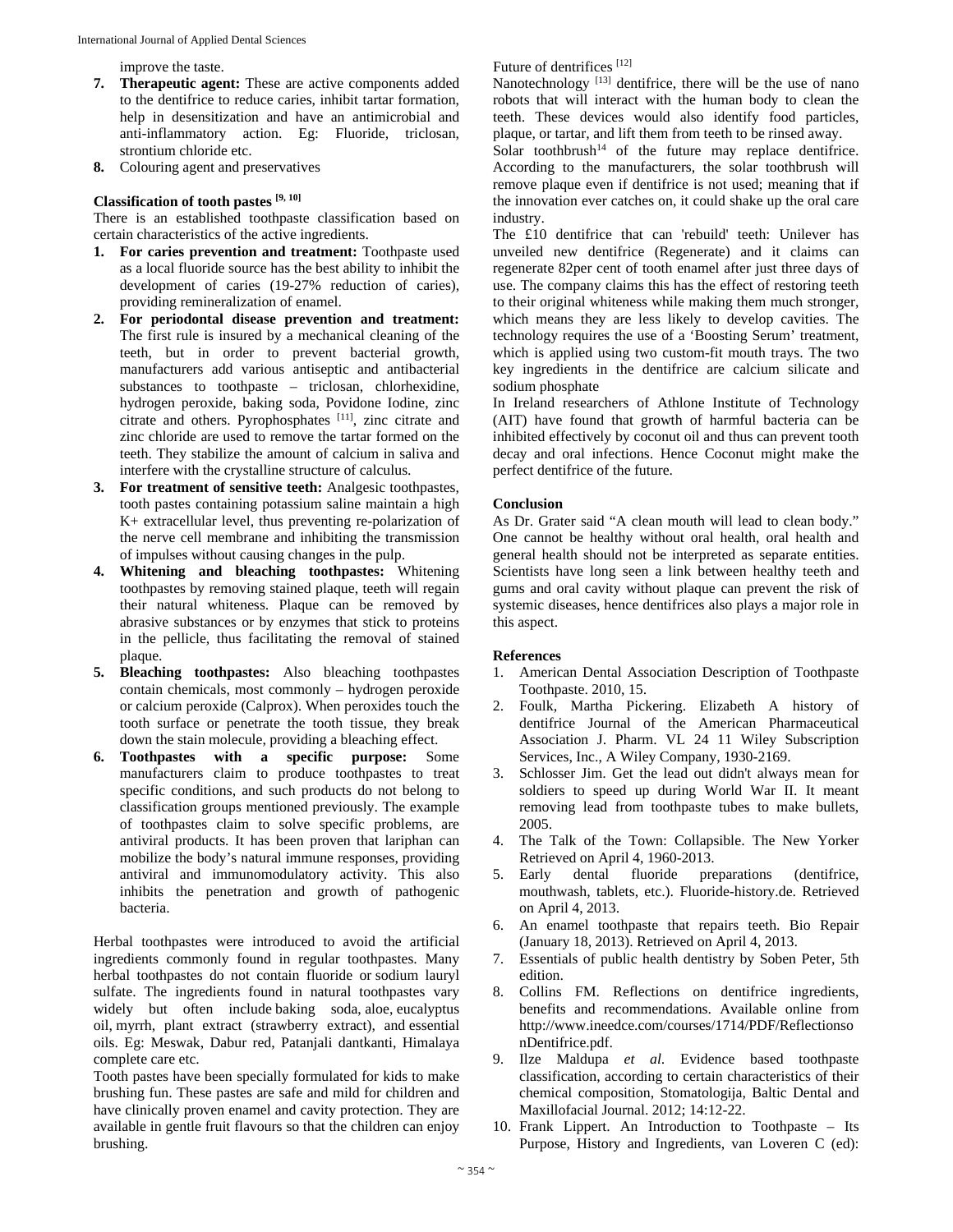improve the taste.

- **7. Therapeutic agent:** These are active components added to the dentifrice to reduce caries, inhibit tartar formation, help in desensitization and have an antimicrobial and anti-inflammatory action. Eg: Fluoride, triclosan, strontium chloride etc.
- **8.** Colouring agent and preservatives

#### **Classification of tooth pastes [9, 10]**

There is an established toothpaste classification based on certain characteristics of the active ingredients.

- **1. For caries prevention and treatment:** Toothpaste used as a local fluoride source has the best ability to inhibit the development of caries (19-27% reduction of caries), providing remineralization of enamel.
- **2. For periodontal disease prevention and treatment:** The first rule is insured by a mechanical cleaning of the teeth, but in order to prevent bacterial growth, manufacturers add various antiseptic and antibacterial substances to toothpaste – triclosan, chlorhexidine, hydrogen peroxide, baking soda, Povidone Iodine, zinc citrate and others. Pyrophosphates [11], zinc citrate and zinc chloride are used to remove the tartar formed on the teeth. They stabilize the amount of calcium in saliva and interfere with the crystalline structure of calculus.
- **3. For treatment of sensitive teeth:** Analgesic toothpastes, tooth pastes containing potassium saline maintain a high K+ extracellular level, thus preventing re-polarization of the nerve cell membrane and inhibiting the transmission of impulses without causing changes in the pulp.
- **4. Whitening and bleaching toothpastes:** Whitening toothpastes by removing stained plaque, teeth will regain their natural whiteness. Plaque can be removed by abrasive substances or by enzymes that stick to proteins in the pellicle, thus facilitating the removal of stained plaque.
- **5. Bleaching toothpastes:** Also bleaching toothpastes contain chemicals, most commonly – hydrogen peroxide or calcium peroxide (Calprox). When peroxides touch the tooth surface or penetrate the tooth tissue, they break down the stain molecule, providing a bleaching effect.
- **6. Toothpastes with a specific purpose:** Some manufacturers claim to produce toothpastes to treat specific conditions, and such products do not belong to classification groups mentioned previously. The example of toothpastes claim to solve specific problems, are antiviral products. It has been proven that lariphan can mobilize the body's natural immune responses, providing antiviral and immunomodulatory activity. This also inhibits the penetration and growth of pathogenic bacteria.

Herbal toothpastes were introduced to avoid the artificial ingredients commonly found in regular toothpastes. Many herbal toothpastes do not contain fluoride or sodium lauryl sulfate. The ingredients found in natural toothpastes vary widely but often include baking soda, aloe, eucalyptus oil, myrrh, plant extract (strawberry extract), and essential oils. Eg: Meswak, Dabur red, Patanjali dantkanti, Himalaya complete care etc.

Tooth pastes have been specially formulated for kids to make brushing fun. These pastes are safe and mild for children and have clinically proven enamel and cavity protection. They are available in gentle fruit flavours so that the children can enjoy brushing.

Future of dentrifices [12]

Nanotechnology<sup>[13]</sup> dentifrice, there will be the use of nano robots that will interact with the human body to clean the teeth. These devices would also identify food particles, plaque, or tartar, and lift them from teeth to be rinsed away.

 $Solar$  toothbrush<sup>14</sup> of the future may replace dentifrice. According to the manufacturers, the solar toothbrush will remove plaque even if dentifrice is not used; meaning that if the innovation ever catches on, it could shake up the oral care industry.

The £10 dentifrice that can 'rebuild' teeth: Unilever has unveiled new dentifrice (Regenerate) and it claims can regenerate 82per cent of tooth enamel after just three days of use. The company claims this has the effect of restoring teeth to their original whiteness while making them much stronger, which means they are less likely to develop cavities. The technology requires the use of a 'Boosting Serum' treatment, which is applied using two custom-fit mouth trays. The two key ingredients in the dentifrice are calcium silicate and sodium phosphate

In Ireland researchers of Athlone Institute of Technology (AIT) have found that growth of harmful bacteria can be inhibited effectively by coconut oil and thus can prevent tooth decay and oral infections. Hence Coconut might make the perfect dentifrice of the future.

### **Conclusion**

As Dr. Grater said "A clean mouth will lead to clean body." One cannot be healthy without oral health, oral health and general health should not be interpreted as separate entities. Scientists have long seen a link between healthy teeth and gums and oral cavity without plaque can prevent the risk of systemic diseases, hence dentifrices also plays a major role in this aspect.

#### **References**

- 1. American Dental Association Description of Toothpaste Toothpaste. 2010, 15.
- 2. Foulk, Martha Pickering. Elizabeth A history of dentifrice Journal of the American Pharmaceutical Association J. Pharm. VL 24 11 Wiley Subscription Services, Inc., A Wiley Company, 1930-2169.
- 3. Schlosser Jim. Get the lead out didn't always mean for soldiers to speed up during World War II. It meant removing lead from toothpaste tubes to make bullets, 2005.
- 4. The Talk of the Town: Collapsible. The New Yorker Retrieved on April 4, 1960-2013.
- 5. Early dental fluoride preparations (dentifrice, mouthwash, tablets, etc.). Fluoride-history.de. Retrieved on April 4, 2013.
- 6. An enamel toothpaste that repairs teeth. Bio Repair (January 18, 2013). Retrieved on April 4, 2013.
- 7. Essentials of public health dentistry by Soben Peter, 5th edition.
- 8. Collins FM. Reflections on dentifrice ingredients, benefits and recommendations. Available online from http://www.ineedce.com/courses/1714/PDF/Reflectionso nDentifrice.pdf.
- 9. Ilze Maldupa *et al*. Evidence based toothpaste classification, according to certain characteristics of their chemical composition, Stomatologija, Baltic Dental and Maxillofacial Journal. 2012; 14:12-22.
- 10. Frank Lippert. An Introduction to Toothpaste Its Purpose, History and Ingredients, van Loveren C (ed):